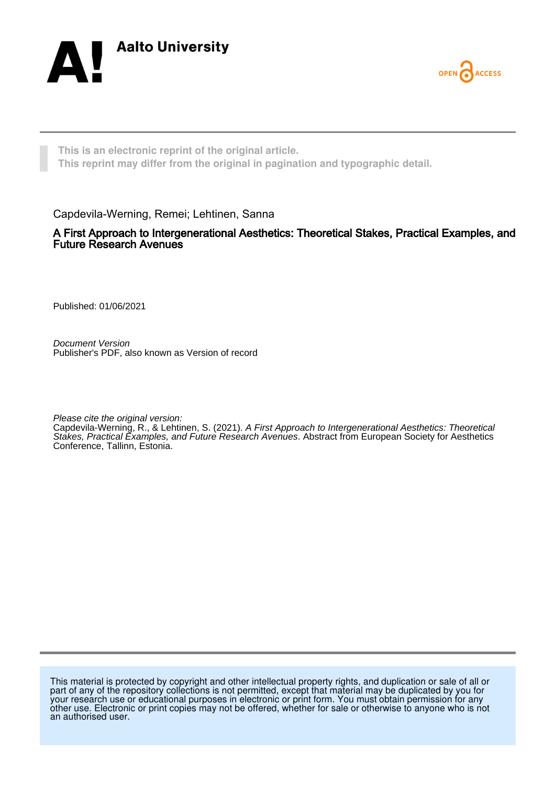



**This is an electronic reprint of the original article. This reprint may differ from the original in pagination and typographic detail.**

Capdevila-Werning, Remei; Lehtinen, Sanna

A First Approach to Intergenerational Aesthetics: Theoretical Stakes, Practical Examples, and Future Research Avenues

Published: 01/06/2021

Document Version Publisher's PDF, also known as Version of record

Please cite the original version:

Capdevila-Werning, R., & Lehtinen, S. (2021). A First Approach to Intergenerational Aesthetics: Theoretical Stakes, Practical Examples, and Future Research Avenues. Abstract from European Society for Aesthetics Conference, Tallinn, Estonia.

This material is protected by copyright and other intellectual property rights, and duplication or sale of all or part of any of the repository collections is not permitted, except that material may be duplicated by you for your research use or educational purposes in electronic or print form. You must obtain permission for any other use. Electronic or print copies may not be offered, whether for sale or otherwise to anyone who is not an authorised user.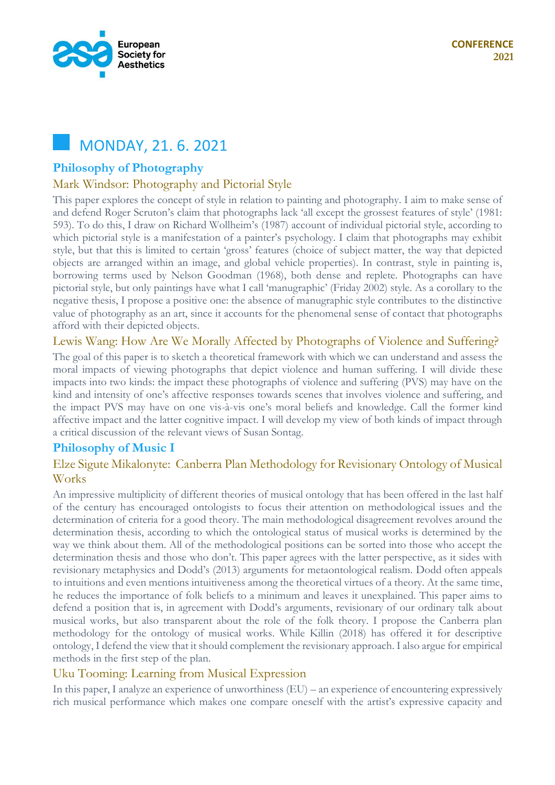

# MONDAY, 21. 6. 2021

# **Philosophy of Photography**

# Mark Windsor: Photography and Pictorial Style

This paper explores the concept of style in relation to painting and photography. I aim to make sense of and defend Roger Scruton's claim that photographs lack 'all except the grossest features of style' (1981: 593). To do this, I draw on Richard Wollheim's (1987) account of individual pictorial style, according to which pictorial style is a manifestation of a painter's psychology. I claim that photographs may exhibit style, but that this is limited to certain 'gross' features (choice of subject matter, the way that depicted objects are arranged within an image, and global vehicle properties). In contrast, style in painting is, borrowing terms used by Nelson Goodman (1968), both dense and replete. Photographs can have pictorial style, but only paintings have what I call 'manugraphic' (Friday 2002) style. As a corollary to the negative thesis, I propose a positive one: the absence of manugraphic style contributes to the distinctive value of photography as an art, since it accounts for the phenomenal sense of contact that photographs afford with their depicted objects.

### Lewis Wang: How Are We Morally Affected by Photographs of Violence and Suffering?

The goal of this paper is to sketch a theoretical framework with which we can understand and assess the moral impacts of viewing photographs that depict violence and human suffering. I will divide these impacts into two kinds: the impact these photographs of violence and suffering (PVS) may have on the kind and intensity of one's affective responses towards scenes that involves violence and suffering, and the impact PVS may have on one vis-à-vis one's moral beliefs and knowledge. Call the former kind affective impact and the latter cognitive impact. I will develop my view of both kinds of impact through a critical discussion of the relevant views of Susan Sontag.

# **Philosophy of Music I**

# Elze Sigute Mikalonyte: Canberra Plan Methodology for Revisionary Ontology of Musical Works

An impressive multiplicity of different theories of musical ontology that has been offered in the last half of the century has encouraged ontologists to focus their attention on methodological issues and the determination of criteria for a good theory. The main methodological disagreement revolves around the determination thesis, according to which the ontological status of musical works is determined by the way we think about them. All of the methodological positions can be sorted into those who accept the determination thesis and those who don't. This paper agrees with the latter perspective, as it sides with revisionary metaphysics and Dodd's (2013) arguments for metaontological realism. Dodd often appeals to intuitions and even mentions intuitiveness among the theoretical virtues of a theory. At the same time, he reduces the importance of folk beliefs to a minimum and leaves it unexplained. This paper aims to defend a position that is, in agreement with Dodd's arguments, revisionary of our ordinary talk about musical works, but also transparent about the role of the folk theory. I propose the Canberra plan methodology for the ontology of musical works. While Killin (2018) has offered it for descriptive ontology, I defend the view that it should complement the revisionary approach. I also argue for empirical methods in the first step of the plan.

# Uku Tooming: Learning from Musical Expression

In this paper, I analyze an experience of unworthiness (EU) – an experience of encountering expressively rich musical performance which makes one compare oneself with the artist's expressive capacity and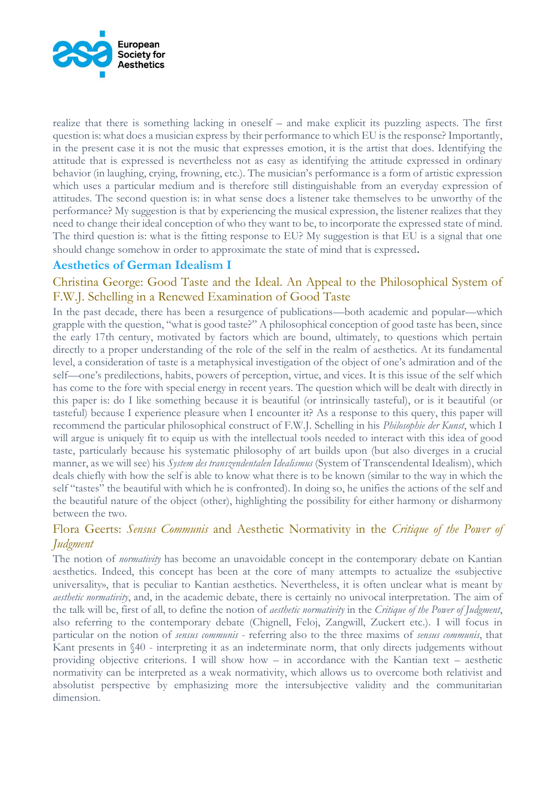

realize that there is something lacking in oneself – and make explicit its puzzling aspects. The first question is: what does a musician express by their performance to which EU is the response? Importantly, in the present case it is not the music that expresses emotion, it is the artist that does. Identifying the attitude that is expressed is nevertheless not as easy as identifying the attitude expressed in ordinary behavior (in laughing, crying, frowning, etc.). The musician's performance is a form of artistic expression which uses a particular medium and is therefore still distinguishable from an everyday expression of attitudes. The second question is: in what sense does a listener take themselves to be unworthy of the performance? My suggestion is that by experiencing the musical expression, the listener realizes that they need to change their ideal conception of who they want to be, to incorporate the expressed state of mind. The third question is: what is the fitting response to EU? My suggestion is that EU is a signal that one should change somehow in order to approximate the state of mind that is expressed.

# **Aesthetics of German Idealism I**

# Christina George: Good Taste and the Ideal. An Appeal to the Philosophical System of F.W.J. Schelling in a Renewed Examination of Good Taste

In the past decade, there has been a resurgence of publications—both academic and popular—which grapple with the question, "what is good taste?" A philosophical conception of good taste has been, since the early 17th century, motivated by factors which are bound, ultimately, to questions which pertain directly to a proper understanding of the role of the self in the realm of aesthetics. At its fundamental level, a consideration of taste is a metaphysical investigation of the object of one's admiration and of the self—one's predilections, habits, powers of perception, virtue, and vices. It is this issue of the self which has come to the fore with special energy in recent years. The question which will be dealt with directly in this paper is: do I like something because it is beautiful (or intrinsically tasteful), or is it beautiful (or tasteful) because I experience pleasure when I encounter it? As a response to this query, this paper will recommend the particular philosophical construct of F.W.J. Schelling in his *Philosophie der Kunst*, which I will argue is uniquely fit to equip us with the intellectual tools needed to interact with this idea of good taste, particularly because his systematic philosophy of art builds upon (but also diverges in a crucial manner, as we will see) his *System des transzendentalen Idealismus* (System of Transcendental Idealism), which deals chiefly with how the self is able to know what there is to be known (similar to the way in which the self "tastes" the beautiful with which he is confronted). In doing so, he unifies the actions of the self and the beautiful nature of the object (other), highlighting the possibility for either harmony or disharmony between the two.

# Flora Geerts: *Sensus Communis* and Aesthetic Normativity in the *Critique of the Power of Judgment*

The notion of *normativity* has become an unavoidable concept in the contemporary debate on Kantian aesthetics. Indeed, this concept has been at the core of many attempts to actualize the «subjective universality», that is peculiar to Kantian aesthetics. Nevertheless, it is often unclear what is meant by *aesthetic normativity*, and, in the academic debate, there is certainly no univocal interpretation. The aim of the talk will be, first of all, to define the notion of *aesthetic normativity* in the *Critique of the Power of Judgment*, also referring to the contemporary debate (Chignell, Feloj, Zangwill, Zuckert etc.). I will focus in particular on the notion of *sensus communis* - referring also to the three maxims of *sensus communis*, that Kant presents in §40 - interpreting it as an indeterminate norm, that only directs judgements without providing objective criterions. I will show how – in accordance with the Kantian text – aesthetic normativity can be interpreted as a weak normativity, which allows us to overcome both relativist and absolutist perspective by emphasizing more the intersubjective validity and the communitarian dimension.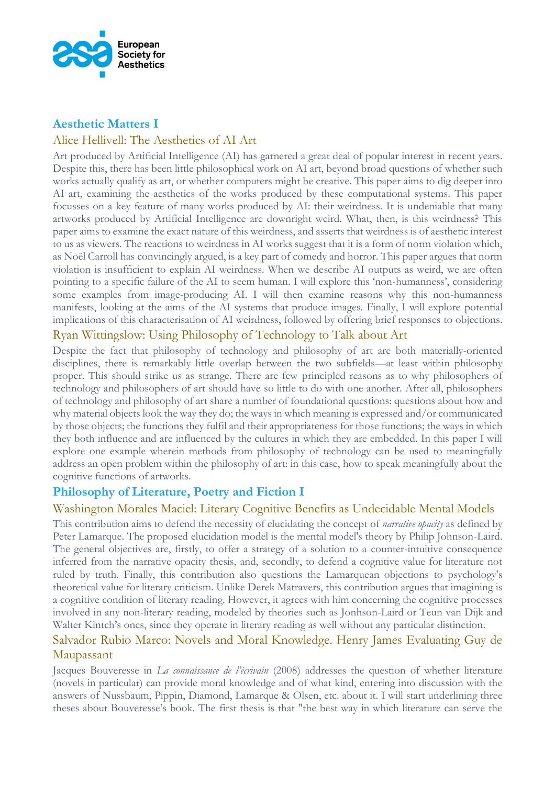

### **Aesthetic Matters I**

# Alice Hellivell: The Aesthetics of AI Art

Art produced by Artificial Intelligence (AI) has garnered a great deal of popular interest in recent years. Despite this, there has been little philosophical work on AI art, beyond broad questions of whether such works actually qualify as art, or whether computers might be creative. This paper aims to dig deeper into AI art, examining the aesthetics of the works produced by these computational systems. This paper focusses on a key feature of many works produced by AI: their weirdness. It is undeniable that many artworks produced by Artificial Intelligence are downright weird. What, then, is this weirdness? This paper aims to examine the exact nature of this weirdness, and asserts that weirdness is of aesthetic interest to us as viewers. The reactions to weirdness in AI works suggest that it is a form of norm violation which, as Noël Carroll has convincingly argued, is a key part of comedy and horror. This paper argues that norm violation is insufficient to explain AI weirdness. When we describe AI outputs as weird, we are often pointing to a specific failure of the AI to seem human. I will explore this 'non-humanness', considering some examples from image-producing AI. I will then examine reasons why this non-humanness manifests, looking at the aims of the AI systems that produce images. Finally, I will explore potential implications of this characterisation of AI weirdness, followed by offering brief responses to objections.

# Ryan Wittingslow: Using Philosophy of Technology to Talk about Art

Despite the fact that philosophy of technology and philosophy of art are both materially-oriented disciplines, there is remarkably little overlap between the two subfields—at least within philosophy proper. This should strike us as strange. There are few principled reasons as to why philosophers of technology and philosophers of art should have so little to do with one another. After all, philosophers of technology and philosophy of art share a number of foundational questions: questions about how and why material objects look the way they do; the ways in which meaning is expressed and/or communicated by those objects; the functions they fulfil and their appropriateness for those functions; the ways in which they both influence and are influenced by the cultures in which they are embedded. In this paper I will explore one example wherein methods from philosophy of technology can be used to meaningfully address an open problem within the philosophy of art: in this case, how to speak meaningfully about the cognitive functions of artworks.

# **Philosophy of Literature, Poetry and Fiction I**

### Washington Morales Maciel: Literary Cognitive Benefits as Undecidable Mental Models

This contribution aims to defend the necessity of elucidating the concept of *narrative opacity* as defined by Peter Lamarque. The proposed elucidation model is the mental model's theory by Philip Johnson-Laird. The general objectives are, firstly, to offer a strategy of a solution to a counter-intuitive consequence inferred from the narrative opacity thesis, and, secondly, to defend a cognitive value for literature not ruled by truth. Finally, this contribution also questions the Lamarquean objections to psychology's theoretical value for literary criticism. Unlike Derek Matravers, this contribution argues that imagining is a cognitive condition of literary reading. However, it agrees with him concerning the cognitive processes involved in any non-literary reading, modeled by theories such as Jonhson-Laird or Teun van Dijk and Walter Kintch's ones, since they operate in literary reading as well without any particular distinction.

### Salvador Rubio Marco: Novels and Moral Knowledge. Henry James Evaluating Guy de Maupassant

Jacques Bouveresse in *La connaissance de l'écrivain* (2008) addresses the question of whether literature (novels in particular) can provide moral knowledge and of what kind, entering into discussion with the answers of Nussbaum, Pippin, Diamond, Lamarque & Olsen, etc. about it. I will start underlining three theses about Bouveresse's book. The first thesis is that "the best way in which literature can serve the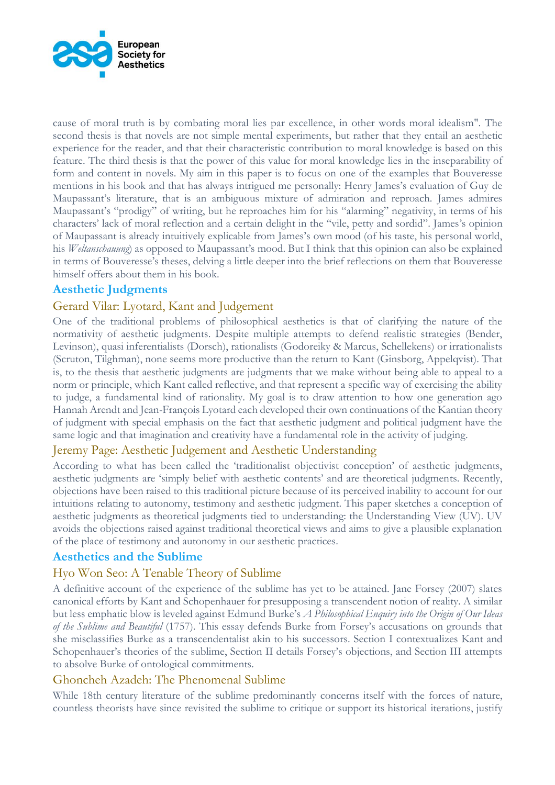

cause of moral truth is by combating moral lies par excellence, in other words moral idealism". The second thesis is that novels are not simple mental experiments, but rather that they entail an aesthetic experience for the reader, and that their characteristic contribution to moral knowledge is based on this feature. The third thesis is that the power of this value for moral knowledge lies in the inseparability of form and content in novels. My aim in this paper is to focus on one of the examples that Bouveresse mentions in his book and that has always intrigued me personally: Henry James's evaluation of Guy de Maupassant's literature, that is an ambiguous mixture of admiration and reproach. James admires Maupassant's "prodigy" of writing, but he reproaches him for his "alarming" negativity, in terms of his characters' lack of moral reflection and a certain delight in the "vile, petty and sordid". James's opinion of Maupassant is already intuitively explicable from James's own mood (of his taste, his personal world, his *Weltanschauung*) as opposed to Maupassant's mood. But I think that this opinion can also be explained in terms of Bouveresse's theses, delving a little deeper into the brief reflections on them that Bouveresse himself offers about them in his book.

### **Aesthetic Judgments**

# Gerard Vilar: Lyotard, Kant and Judgement

One of the traditional problems of philosophical aesthetics is that of clarifying the nature of the normativity of aesthetic judgments. Despite multiple attempts to defend realistic strategies (Bender, Levinson), quasi inferentialists (Dorsch), rationalists (Godoreiky & Marcus, Schellekens) or irrationalists (Scruton, Tilghman), none seems more productive than the return to Kant (Ginsborg, Appelqvist). That is, to the thesis that aesthetic judgments are judgments that we make without being able to appeal to a norm or principle, which Kant called reflective, and that represent a specific way of exercising the ability to judge, a fundamental kind of rationality. My goal is to draw attention to how one generation ago Hannah Arendt and Jean-François Lyotard each developed their own continuations of the Kantian theory of judgment with special emphasis on the fact that aesthetic judgment and political judgment have the same logic and that imagination and creativity have a fundamental role in the activity of judging.

### Jeremy Page: Aesthetic Judgement and Aesthetic Understanding

According to what has been called the 'traditionalist objectivist conception' of aesthetic judgments, aesthetic judgments are 'simply belief with aesthetic contents' and are theoretical judgments. Recently, objections have been raised to this traditional picture because of its perceived inability to account for our intuitions relating to autonomy, testimony and aesthetic judgment. This paper sketches a conception of aesthetic judgments as theoretical judgments tied to understanding: the Understanding View (UV). UV avoids the objections raised against traditional theoretical views and aims to give a plausible explanation of the place of testimony and autonomy in our aesthetic practices.

### **Aesthetics and the Sublime**

### Hyo Won Seo: A Tenable Theory of Sublime

A definitive account of the experience of the sublime has yet to be attained. Jane Forsey (2007) slates canonical efforts by Kant and Schopenhauer for presupposing a transcendent notion of reality. A similar but less emphatic blow is leveled against Edmund Burke's *A Philosophical Enquiry into the Origin of Our Ideas of the Sublime and Beautiful* (1757). This essay defends Burke from Forsey's accusations on grounds that she misclassifies Burke as a transcendentalist akin to his successors. Section I contextualizes Kant and Schopenhauer's theories of the sublime, Section II details Forsey's objections, and Section III attempts to absolve Burke of ontological commitments.

### Ghoncheh Azadeh: The Phenomenal Sublime

While 18th century literature of the sublime predominantly concerns itself with the forces of nature, countless theorists have since revisited the sublime to critique or support its historical iterations, justify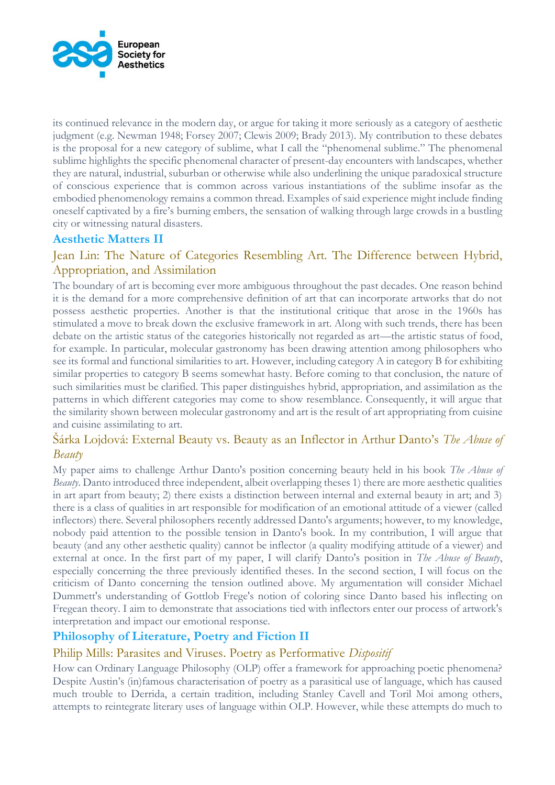

its continued relevance in the modern day, or argue for taking it more seriously as a category of aesthetic judgment (e.g. Newman 1948; Forsey 2007; Clewis 2009; Brady 2013). My contribution to these debates is the proposal for a new category of sublime, what I call the "phenomenal sublime." The phenomenal sublime highlights the specific phenomenal character of present-day encounters with landscapes, whether they are natural, industrial, suburban or otherwise while also underlining the unique paradoxical structure of conscious experience that is common across various instantiations of the sublime insofar as the embodied phenomenology remains a common thread. Examples of said experience might include finding oneself captivated by a fire's burning embers, the sensation of walking through large crowds in a bustling city or witnessing natural disasters.

# **Aesthetic Matters II**

# Jean Lin: The Nature of Categories Resembling Art. The Difference between Hybrid, Appropriation, and Assimilation

The boundary of art is becoming ever more ambiguous throughout the past decades. One reason behind it is the demand for a more comprehensive definition of art that can incorporate artworks that do not possess aesthetic properties. Another is that the institutional critique that arose in the 1960s has stimulated a move to break down the exclusive framework in art. Along with such trends, there has been debate on the artistic status of the categories historically not regarded as art—the artistic status of food, for example. In particular, molecular gastronomy has been drawing attention among philosophers who see its formal and functional similarities to art. However, including category A in category B for exhibiting similar properties to category B seems somewhat hasty. Before coming to that conclusion, the nature of such similarities must be clarified. This paper distinguishes hybrid, appropriation, and assimilation as the patterns in which different categories may come to show resemblance. Consequently, it will argue that the similarity shown between molecular gastronomy and art is the result of art appropriating from cuisine and cuisine assimilating to art.

# Šárka Lojdová: External Beauty vs. Beauty as an Inflector in Arthur Danto's *The Abuse of Beauty*

My paper aims to challenge Arthur Danto's position concerning beauty held in his book *The Abuse of Beauty*. Danto introduced three independent, albeit overlapping theses 1) there are more aesthetic qualities in art apart from beauty; 2) there exists a distinction between internal and external beauty in art; and 3) there is a class of qualities in art responsible for modification of an emotional attitude of a viewer (called inflectors) there. Several philosophers recently addressed Danto's arguments; however, to my knowledge, nobody paid attention to the possible tension in Danto's book. In my contribution, I will argue that beauty (and any other aesthetic quality) cannot be inflector (a quality modifying attitude of a viewer) and external at once. In the first part of my paper, I will clarify Danto's position in *The Abuse of Beauty*, especially concerning the three previously identified theses. In the second section, I will focus on the criticism of Danto concerning the tension outlined above. My argumentation will consider Michael Dummett's understanding of Gottlob Frege's notion of coloring since Danto based his inflecting on Fregean theory. I aim to demonstrate that associations tied with inflectors enter our process of artwork's interpretation and impact our emotional response.

# **Philosophy of Literature, Poetry and Fiction II**

# Philip Mills: Parasites and Viruses. Poetry as Performative *Dispositif*

How can Ordinary Language Philosophy (OLP) offer a framework for approaching poetic phenomena? Despite Austin's (in)famous characterisation of poetry as a parasitical use of language, which has caused much trouble to Derrida, a certain tradition, including Stanley Cavell and Toril Moi among others, attempts to reintegrate literary uses of language within OLP. However, while these attempts do much to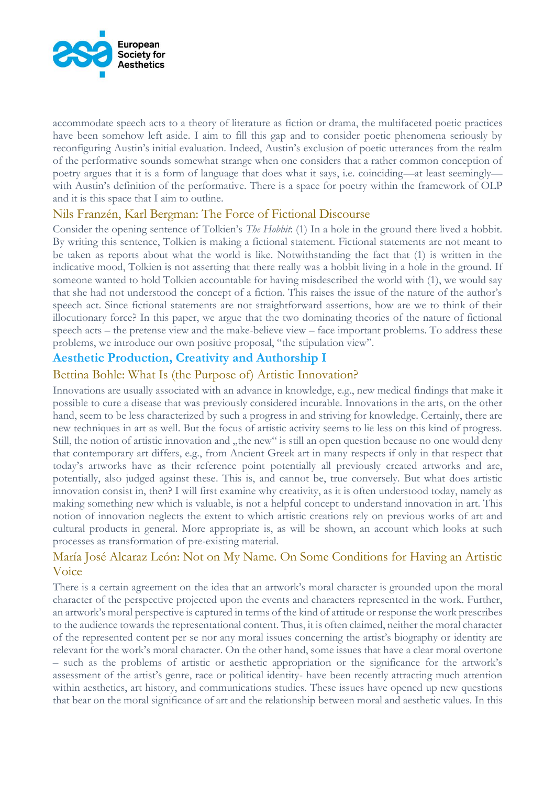

accommodate speech acts to a theory of literature as fiction or drama, the multifaceted poetic practices have been somehow left aside. I aim to fill this gap and to consider poetic phenomena seriously by reconfiguring Austin's initial evaluation. Indeed, Austin's exclusion of poetic utterances from the realm of the performative sounds somewhat strange when one considers that a rather common conception of poetry argues that it is a form of language that does what it says, i.e. coinciding—at least seemingly with Austin's definition of the performative. There is a space for poetry within the framework of OLP and it is this space that I aim to outline.

### Nils Franzén, Karl Bergman: The Force of Fictional Discourse

Consider the opening sentence of Tolkien's *The Hobbit*: (1) In a hole in the ground there lived a hobbit. By writing this sentence, Tolkien is making a fictional statement. Fictional statements are not meant to be taken as reports about what the world is like. Notwithstanding the fact that (1) is written in the indicative mood, Tolkien is not asserting that there really was a hobbit living in a hole in the ground. If someone wanted to hold Tolkien accountable for having misdescribed the world with (1), we would say that she had not understood the concept of a fiction. This raises the issue of the nature of the author's speech act. Since fictional statements are not straightforward assertions, how are we to think of their illocutionary force? In this paper, we argue that the two dominating theories of the nature of fictional speech acts – the pretense view and the make-believe view – face important problems. To address these problems, we introduce our own positive proposal, "the stipulation view".

# **Aesthetic Production, Creativity and Authorship I**

# Bettina Bohle: What Is (the Purpose of) Artistic Innovation?

Innovations are usually associated with an advance in knowledge, e.g., new medical findings that make it possible to cure a disease that was previously considered incurable. Innovations in the arts, on the other hand, seem to be less characterized by such a progress in and striving for knowledge. Certainly, there are new techniques in art as well. But the focus of artistic activity seems to lie less on this kind of progress. Still, the notion of artistic innovation and "the new" is still an open question because no one would deny that contemporary art differs, e.g., from Ancient Greek art in many respects if only in that respect that today's artworks have as their reference point potentially all previously created artworks and are, potentially, also judged against these. This is, and cannot be, true conversely. But what does artistic innovation consist in, then? I will first examine why creativity, as it is often understood today, namely as making something new which is valuable, is not a helpful concept to understand innovation in art. This notion of innovation neglects the extent to which artistic creations rely on previous works of art and cultural products in general. More appropriate is, as will be shown, an account which looks at such processes as transformation of pre-existing material.

# María José Alcaraz León: Not on My Name. On Some Conditions for Having an Artistic Voice

There is a certain agreement on the idea that an artwork's moral character is grounded upon the moral character of the perspective projected upon the events and characters represented in the work. Further, an artwork's moral perspective is captured in terms of the kind of attitude or response the work prescribes to the audience towards the representational content. Thus, it is often claimed, neither the moral character of the represented content per se nor any moral issues concerning the artist's biography or identity are relevant for the work's moral character. On the other hand, some issues that have a clear moral overtone – such as the problems of artistic or aesthetic appropriation or the significance for the artwork's assessment of the artist's genre, race or political identity- have been recently attracting much attention within aesthetics, art history, and communications studies. These issues have opened up new questions that bear on the moral significance of art and the relationship between moral and aesthetic values. In this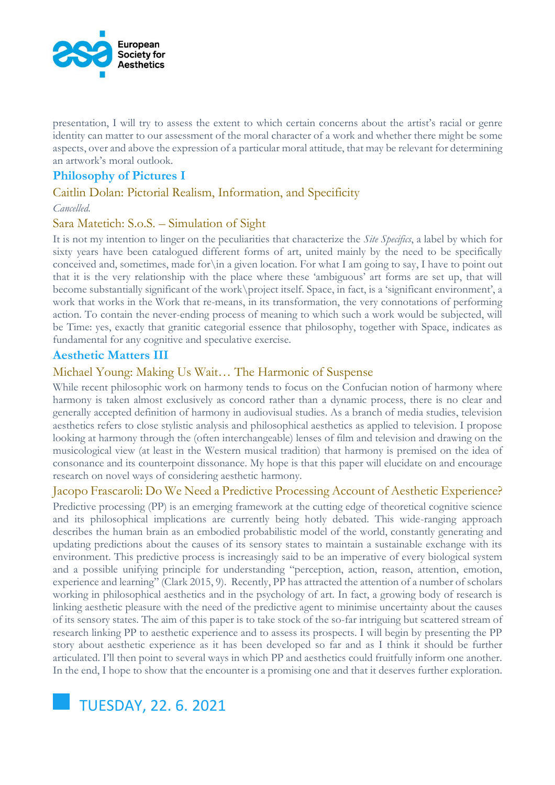

presentation, I will try to assess the extent to which certain concerns about the artist's racial or genre identity can matter to our assessment of the moral character of a work and whether there might be some aspects, over and above the expression of a particular moral attitude, that may be relevant for determining an artwork's moral outlook.

# **Philosophy of Pictures I**

### Caitlin Dolan: Pictorial Realism, Information, and Specificity

#### *Cancelled.*

### Sara Matetich: S.o.S. – Simulation of Sight

It is not my intention to linger on the peculiarities that characterize the *Site Specifics*, a label by which for sixty years have been catalogued different forms of art, united mainly by the need to be specifically conceived and, sometimes, made for\in a given location. For what I am going to say, I have to point out that it is the very relationship with the place where these 'ambiguous' art forms are set up, that will become substantially significant of the work\project itself. Space, in fact, is a 'significant environment', a work that works in the Work that re-means, in its transformation, the very connotations of performing action. To contain the never-ending process of meaning to which such a work would be subjected, will be Time: yes, exactly that granitic categorial essence that philosophy, together with Space, indicates as fundamental for any cognitive and speculative exercise.

### **Aesthetic Matters III**

# Michael Young: Making Us Wait… The Harmonic of Suspense

While recent philosophic work on harmony tends to focus on the Confucian notion of harmony where harmony is taken almost exclusively as concord rather than a dynamic process, there is no clear and generally accepted definition of harmony in audiovisual studies. As a branch of media studies, television aesthetics refers to close stylistic analysis and philosophical aesthetics as applied to television. I propose looking at harmony through the (often interchangeable) lenses of film and television and drawing on the musicological view (at least in the Western musical tradition) that harmony is premised on the idea of consonance and its counterpoint dissonance. My hope is that this paper will elucidate on and encourage research on novel ways of considering aesthetic harmony.

Jacopo Frascaroli: Do We Need a Predictive Processing Account of Aesthetic Experience?

Predictive processing (PP) is an emerging framework at the cutting edge of theoretical cognitive science and its philosophical implications are currently being hotly debated. This wide-ranging approach describes the human brain as an embodied probabilistic model of the world, constantly generating and updating predictions about the causes of its sensory states to maintain a sustainable exchange with its environment. This predictive process is increasingly said to be an imperative of every biological system and a possible unifying principle for understanding "perception, action, reason, attention, emotion, experience and learning" (Clark 2015, 9). Recently, PP has attracted the attention of a number of scholars working in philosophical aesthetics and in the psychology of art. In fact, a growing body of research is linking aesthetic pleasure with the need of the predictive agent to minimise uncertainty about the causes of its sensory states. The aim of this paper is to take stock of the so-far intriguing but scattered stream of research linking PP to aesthetic experience and to assess its prospects. I will begin by presenting the PP story about aesthetic experience as it has been developed so far and as I think it should be further articulated. I'll then point to several ways in which PP and aesthetics could fruitfully inform one another. In the end, I hope to show that the encounter is a promising one and that it deserves further exploration.

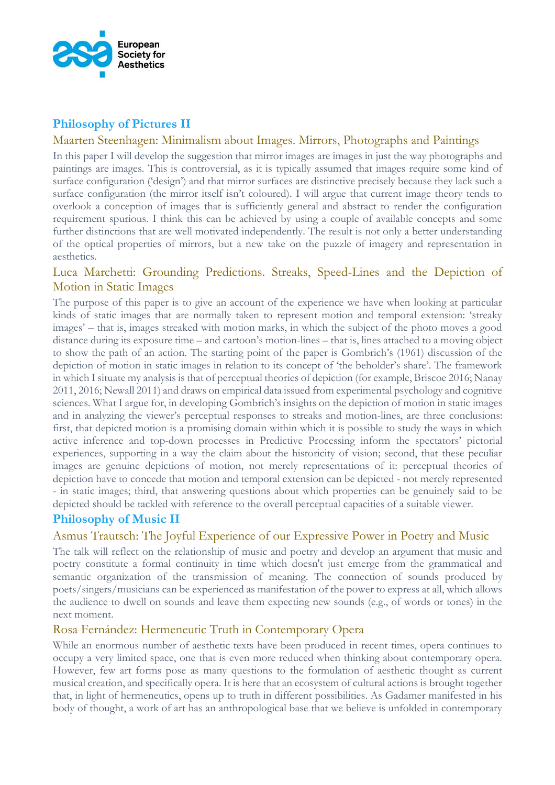

# **Philosophy of Pictures II**

### Maarten Steenhagen: Minimalism about Images. Mirrors, Photographs and Paintings

In this paper I will develop the suggestion that mirror images are images in just the way photographs and paintings are images. This is controversial, as it is typically assumed that images require some kind of surface configuration ('design') and that mirror surfaces are distinctive precisely because they lack such a surface configuration (the mirror itself isn't coloured). I will argue that current image theory tends to overlook a conception of images that is sufficiently general and abstract to render the configuration requirement spurious. I think this can be achieved by using a couple of available concepts and some further distinctions that are well motivated independently. The result is not only a better understanding of the optical properties of mirrors, but a new take on the puzzle of imagery and representation in aesthetics.

# Luca Marchetti: Grounding Predictions. Streaks, Speed-Lines and the Depiction of Motion in Static Images

The purpose of this paper is to give an account of the experience we have when looking at particular kinds of static images that are normally taken to represent motion and temporal extension: 'streaky images' – that is, images streaked with motion marks, in which the subject of the photo moves a good distance during its exposure time – and cartoon's motion-lines – that is, lines attached to a moving object to show the path of an action. The starting point of the paper is Gombrich's (1961) discussion of the depiction of motion in static images in relation to its concept of 'the beholder's share'. The framework in which I situate my analysis is that of perceptual theories of depiction (for example, Briscoe 2016; Nanay 2011, 2016; Newall 2011) and draws on empirical data issued from experimental psychology and cognitive sciences. What I argue for, in developing Gombrich's insights on the depiction of motion in static images and in analyzing the viewer's perceptual responses to streaks and motion-lines, are three conclusions: first, that depicted motion is a promising domain within which it is possible to study the ways in which active inference and top-down processes in Predictive Processing inform the spectators' pictorial experiences, supporting in a way the claim about the historicity of vision; second, that these peculiar images are genuine depictions of motion, not merely representations of it: perceptual theories of depiction have to concede that motion and temporal extension can be depicted - not merely represented - in static images; third, that answering questions about which properties can be genuinely said to be depicted should be tackled with reference to the overall perceptual capacities of a suitable viewer.

# **Philosophy of Music II**

# Asmus Trautsch: The Joyful Experience of our Expressive Power in Poetry and Music

The talk will reflect on the relationship of music and poetry and develop an argument that music and poetry constitute a formal continuity in time which doesn't just emerge from the grammatical and semantic organization of the transmission of meaning. The connection of sounds produced by poets/singers/musicians can be experienced as manifestation of the power to express at all, which allows the audience to dwell on sounds and leave them expecting new sounds (e.g., of words or tones) in the next moment.

# Rosa Fernández: Hermeneutic Truth in Contemporary Opera

While an enormous number of aesthetic texts have been produced in recent times, opera continues to occupy a very limited space, one that is even more reduced when thinking about contemporary opera. However, few art forms pose as many questions to the formulation of aesthetic thought as current musical creation, and specifically opera. It is here that an ecosystem of cultural actions is brought together that, in light of hermeneutics, opens up to truth in different possibilities. As Gadamer manifested in his body of thought, a work of art has an anthropological base that we believe is unfolded in contemporary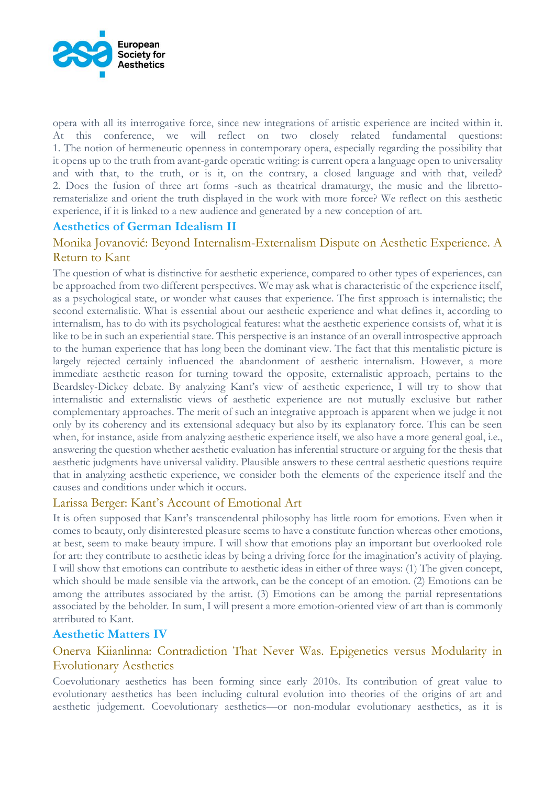

opera with all its interrogative force, since new integrations of artistic experience are incited within it. At this conference, we will reflect on two closely related fundamental questions: 1. The notion of hermeneutic openness in contemporary opera, especially regarding the possibility that it opens up to the truth from avant-garde operatic writing: is current opera a language open to universality and with that, to the truth, or is it, on the contrary, a closed language and with that, veiled? 2. Does the fusion of three art forms -such as theatrical dramaturgy, the music and the librettorematerialize and orient the truth displayed in the work with more force? We reflect on this aesthetic experience, if it is linked to a new audience and generated by a new conception of art.

# **Aesthetics of German Idealism II**

# Monika Jovanović: Beyond Internalism-Externalism Dispute on Aesthetic Experience. A Return to Kant

The question of what is distinctive for aesthetic experience, compared to other types of experiences, can be approached from two different perspectives. We may ask what is characteristic of the experience itself, as a psychological state, or wonder what causes that experience. The first approach is internalistic; the second externalistic. What is essential about our aesthetic experience and what defines it, according to internalism, has to do with its psychological features: what the aesthetic experience consists of, what it is like to be in such an experiential state. This perspective is an instance of an overall introspective approach to the human experience that has long been the dominant view. The fact that this mentalistic picture is largely rejected certainly influenced the abandonment of aesthetic internalism. However, a more immediate aesthetic reason for turning toward the opposite, externalistic approach, pertains to the Beardsley-Dickey debate. By analyzing Kant's view of aesthetic experience, I will try to show that internalistic and externalistic views of aesthetic experience are not mutually exclusive but rather complementary approaches. The merit of such an integrative approach is apparent when we judge it not only by its coherency and its extensional adequacy but also by its explanatory force. This can be seen when, for instance, aside from analyzing aesthetic experience itself, we also have a more general goal, i.e., answering the question whether aesthetic evaluation has inferential structure or arguing for the thesis that aesthetic judgments have universal validity. Plausible answers to these central aesthetic questions require that in analyzing aesthetic experience, we consider both the elements of the experience itself and the causes and conditions under which it occurs.

# Larissa Berger: Kant's Account of Emotional Art

It is often supposed that Kant's transcendental philosophy has little room for emotions. Even when it comes to beauty, only disinterested pleasure seems to have a constitute function whereas other emotions, at best, seem to make beauty impure. I will show that emotions play an important but overlooked role for art: they contribute to aesthetic ideas by being a driving force for the imagination's activity of playing. I will show that emotions can contribute to aesthetic ideas in either of three ways: (1) The given concept, which should be made sensible via the artwork, can be the concept of an emotion. (2) Emotions can be among the attributes associated by the artist. (3) Emotions can be among the partial representations associated by the beholder. In sum, I will present a more emotion-oriented view of art than is commonly attributed to Kant.

### **Aesthetic Matters IV**

# Onerva Kiianlinna: Contradiction That Never Was. Epigenetics versus Modularity in Evolutionary Aesthetics

Coevolutionary aesthetics has been forming since early 2010s. Its contribution of great value to evolutionary aesthetics has been including cultural evolution into theories of the origins of art and aesthetic judgement. Coevolutionary aesthetics—or non-modular evolutionary aesthetics, as it is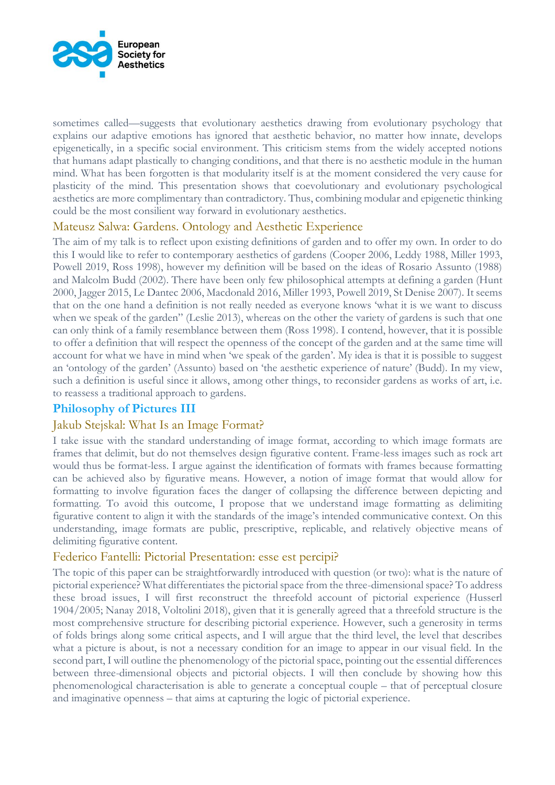

sometimes called—suggests that evolutionary aesthetics drawing from evolutionary psychology that explains our adaptive emotions has ignored that aesthetic behavior, no matter how innate, develops epigenetically, in a specific social environment. This criticism stems from the widely accepted notions that humans adapt plastically to changing conditions, and that there is no aesthetic module in the human mind. What has been forgotten is that modularity itself is at the moment considered the very cause for plasticity of the mind. This presentation shows that coevolutionary and evolutionary psychological aesthetics are more complimentary than contradictory. Thus, combining modular and epigenetic thinking could be the most consilient way forward in evolutionary aesthetics.

# Mateusz Salwa: Gardens. Ontology and Aesthetic Experience

The aim of my talk is to reflect upon existing definitions of garden and to offer my own. In order to do this I would like to refer to contemporary aesthetics of gardens (Cooper 2006, Leddy 1988, Miller 1993, Powell 2019, Ross 1998), however my definition will be based on the ideas of Rosario Assunto (1988) and Malcolm Budd (2002). There have been only few philosophical attempts at defining a garden (Hunt 2000, Jagger 2015, Le Dantec 2006, Macdonald 2016, Miller 1993, Powell 2019, St Denise 2007). It seems that on the one hand a definition is not really needed as everyone knows 'what it is we want to discuss when we speak of the garden" (Leslie 2013), whereas on the other the variety of gardens is such that one can only think of a family resemblance between them (Ross 1998). I contend, however, that it is possible to offer a definition that will respect the openness of the concept of the garden and at the same time will account for what we have in mind when 'we speak of the garden'. My idea is that it is possible to suggest an 'ontology of the garden' (Assunto) based on 'the aesthetic experience of nature' (Budd). In my view, such a definition is useful since it allows, among other things, to reconsider gardens as works of art, i.e. to reassess a traditional approach to gardens.

# **Philosophy of Pictures III**

### Jakub Stejskal: What Is an Image Format?

I take issue with the standard understanding of image format, according to which image formats are frames that delimit, but do not themselves design figurative content. Frame-less images such as rock art would thus be format-less. I argue against the identification of formats with frames because formatting can be achieved also by figurative means. However, a notion of image format that would allow for formatting to involve figuration faces the danger of collapsing the difference between depicting and formatting. To avoid this outcome, I propose that we understand image formatting as delimiting figurative content to align it with the standards of the image's intended communicative context. On this understanding, image formats are public, prescriptive, replicable, and relatively objective means of delimiting figurative content.

### Federico Fantelli: Pictorial Presentation: esse est percipi?

The topic of this paper can be straightforwardly introduced with question (or two): what is the nature of pictorial experience? What differentiates the pictorial space from the three-dimensional space? To address these broad issues, I will first reconstruct the threefold account of pictorial experience (Husserl 1904/2005; Nanay 2018, Voltolini 2018), given that it is generally agreed that a threefold structure is the most comprehensive structure for describing pictorial experience. However, such a generosity in terms of folds brings along some critical aspects, and I will argue that the third level, the level that describes what a picture is about, is not a necessary condition for an image to appear in our visual field. In the second part, I will outline the phenomenology of the pictorial space, pointing out the essential differences between three-dimensional objects and pictorial objects. I will then conclude by showing how this phenomenological characterisation is able to generate a conceptual couple – that of perceptual closure and imaginative openness – that aims at capturing the logic of pictorial experience.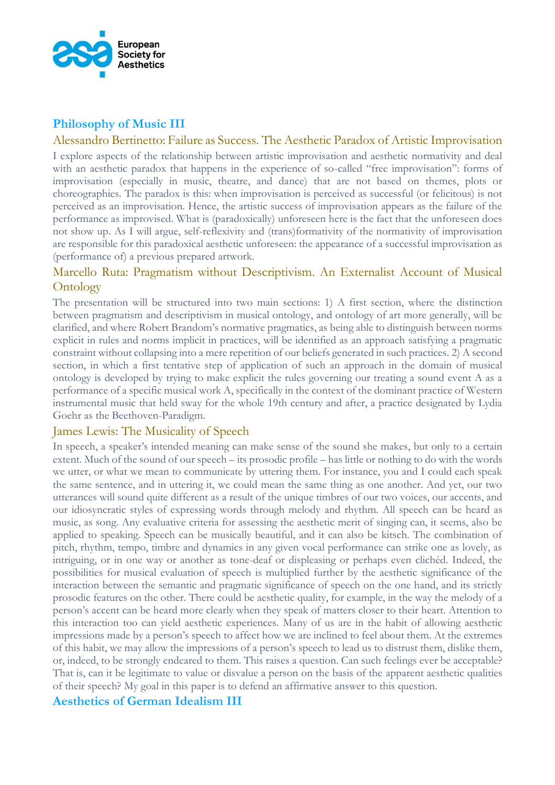

# **Philosophy of Music III**

#### Alessandro Bertinetto: Failure as Success. The Aesthetic Paradox of Artistic Improvisation

I explore aspects of the relationship between artistic improvisation and aesthetic normativity and deal with an aesthetic paradox that happens in the experience of so-called "free improvisation": forms of improvisation (especially in music, theatre, and dance) that are not based on themes, plots or choreographies. The paradox is this: when improvisation is perceived as successful (or felicitous) is not perceived as an improvisation. Hence, the artistic success of improvisation appears as the failure of the performance as improvised. What is (paradoxically) unforeseen here is the fact that the unforeseen does not show up. As I will argue, self-reflexivity and (trans)formativity of the normativity of improvisation are responsible for this paradoxical aesthetic unforeseen: the appearance of a successful improvisation as (performance of) a previous prepared artwork.

# Marcello Ruta: Pragmatism without Descriptivism. An Externalist Account of Musical **Ontology**

The presentation will be structured into two main sections: 1) A first section, where the distinction between pragmatism and descriptivism in musical ontology, and ontology of art more generally, will be clarified, and where Robert Brandom's normative pragmatics, as being able to distinguish between norms explicit in rules and norms implicit in practices, will be identified as an approach satisfying a pragmatic constraint without collapsing into a mere repetition of our beliefs generated in such practices. 2) A second section, in which a first tentative step of application of such an approach in the domain of musical ontology is developed by trying to make explicit the rules governing our treating a sound event A as a performance of a specific musical work A, specifically in the context of the dominant practice of Western instrumental music that held sway for the whole 19th century and after, a practice designated by Lydia Goehr as the Beethoven-Paradigm.

### James Lewis: The Musicality of Speech

In speech, a speaker's intended meaning can make sense of the sound she makes, but only to a certain extent. Much of the sound of our speech – its prosodic profile – has little or nothing to do with the words we utter, or what we mean to communicate by uttering them. For instance, you and I could each speak the same sentence, and in uttering it, we could mean the same thing as one another. And yet, our two utterances will sound quite different as a result of the unique timbres of our two voices, our accents, and our idiosyncratic styles of expressing words through melody and rhythm. All speech can be heard as music, as song. Any evaluative criteria for assessing the aesthetic merit of singing can, it seems, also be applied to speaking. Speech can be musically beautiful, and it can also be kitsch. The combination of pitch, rhythm, tempo, timbre and dynamics in any given vocal performance can strike one as lovely, as intriguing, or in one way or another as tone-deaf or displeasing or perhaps even clichéd. Indeed, the possibilities for musical evaluation of speech is multiplied further by the aesthetic significance of the interaction between the semantic and pragmatic significance of speech on the one hand, and its strictly prosodic features on the other. There could be aesthetic quality, for example, in the way the melody of a person's accent can be heard more clearly when they speak of matters closer to their heart. Attention to this interaction too can yield aesthetic experiences. Many of us are in the habit of allowing aesthetic impressions made by a person's speech to affect how we are inclined to feel about them. At the extremes of this habit, we may allow the impressions of a person's speech to lead us to distrust them, dislike them, or, indeed, to be strongly endeared to them. This raises a question. Can such feelings ever be acceptable? That is, can it be legitimate to value or disvalue a person on the basis of the apparent aesthetic qualities of their speech? My goal in this paper is to defend an affirmative answer to this question.

### **Aesthetics of German Idealism III**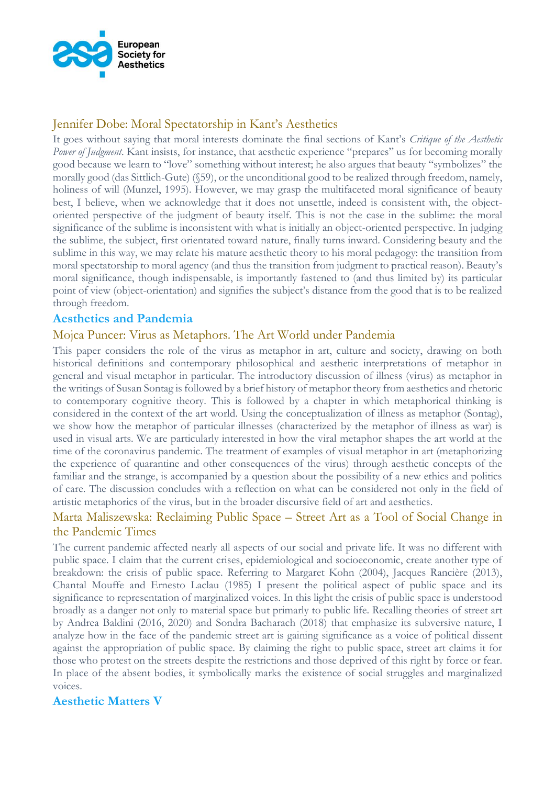

# Jennifer Dobe: Moral Spectatorship in Kant's Aesthetics

It goes without saying that moral interests dominate the final sections of Kant's *Critique of the Aesthetic Power of Judgment*. Kant insists, for instance, that aesthetic experience "prepares" us for becoming morally good because we learn to "love" something without interest; he also argues that beauty "symbolizes" the morally good (das Sittlich-Gute) (§59), or the unconditional good to be realized through freedom, namely, holiness of will (Munzel, 1995). However, we may grasp the multifaceted moral significance of beauty best, I believe, when we acknowledge that it does not unsettle, indeed is consistent with, the objectoriented perspective of the judgment of beauty itself. This is not the case in the sublime: the moral significance of the sublime is inconsistent with what is initially an object-oriented perspective. In judging the sublime, the subject, first orientated toward nature, finally turns inward. Considering beauty and the sublime in this way, we may relate his mature aesthetic theory to his moral pedagogy: the transition from moral spectatorship to moral agency (and thus the transition from judgment to practical reason). Beauty's moral significance, though indispensable, is importantly fastened to (and thus limited by) its particular point of view (object-orientation) and signifies the subject's distance from the good that is to be realized through freedom.

# **Aesthetics and Pandemia**

### Mojca Puncer: Virus as Metaphors. The Art World under Pandemia

This paper considers the role of the virus as metaphor in art, culture and society, drawing on both historical definitions and contemporary philosophical and aesthetic interpretations of metaphor in general and visual metaphor in particular. The introductory discussion of illness (virus) as metaphor in the writings of Susan Sontag is followed by a brief history of metaphor theory from aesthetics and rhetoric to contemporary cognitive theory. This is followed by a chapter in which metaphorical thinking is considered in the context of the art world. Using the conceptualization of illness as metaphor (Sontag), we show how the metaphor of particular illnesses (characterized by the metaphor of illness as war) is used in visual arts. We are particularly interested in how the viral metaphor shapes the art world at the time of the coronavirus pandemic. The treatment of examples of visual metaphor in art (metaphorizing the experience of quarantine and other consequences of the virus) through aesthetic concepts of the familiar and the strange, is accompanied by a question about the possibility of a new ethics and politics of care. The discussion concludes with a reflection on what can be considered not only in the field of artistic metaphorics of the virus, but in the broader discursive field of art and aesthetics.

# Marta Maliszewska: Reclaiming Public Space – Street Art as a Tool of Social Change in the Pandemic Times

The current pandemic affected nearly all aspects of our social and private life. It was no different with public space. I claim that the current crises, epidemiological and socioeconomic, create another type of breakdown: the crisis of public space. Referring to Margaret Kohn (2004), Jacques Rancière (2013), Chantal Mouffe and Ernesto Laclau (1985) I present the political aspect of public space and its significance to representation of marginalized voices. In this light the crisis of public space is understood broadly as a danger not only to material space but primarly to public life. Recalling theories of street art by Andrea Baldini (2016, 2020) and Sondra Bacharach (2018) that emphasize its subversive nature, I analyze how in the face of the pandemic street art is gaining significance as a voice of political dissent against the appropriation of public space. By claiming the right to public space, street art claims it for those who protest on the streets despite the restrictions and those deprived of this right by force or fear. In place of the absent bodies, it symbolically marks the existence of social struggles and marginalized voices.

### **Aesthetic Matters V**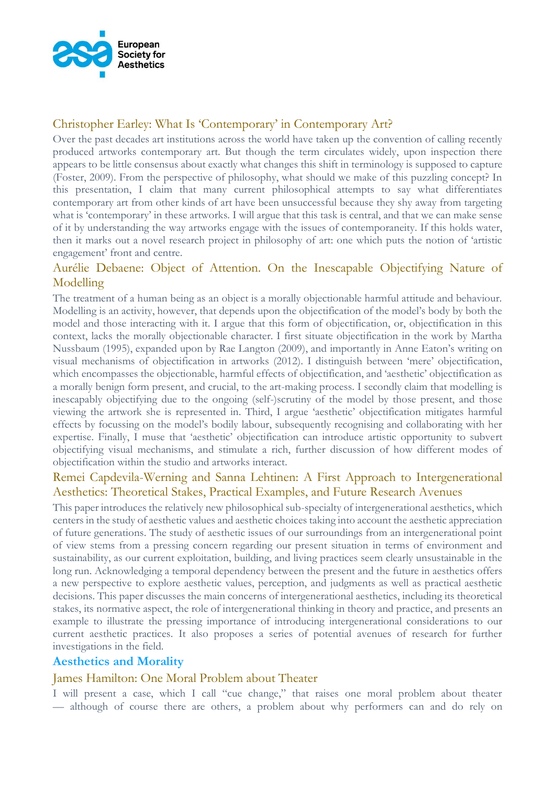

# Christopher Earley: What Is 'Contemporary' in Contemporary Art?

Over the past decades art institutions across the world have taken up the convention of calling recently produced artworks contemporary art. But though the term circulates widely, upon inspection there appears to be little consensus about exactly what changes this shift in terminology is supposed to capture (Foster, 2009). From the perspective of philosophy, what should we make of this puzzling concept? In this presentation, I claim that many current philosophical attempts to say what differentiates contemporary art from other kinds of art have been unsuccessful because they shy away from targeting what is 'contemporary' in these artworks. I will argue that this task is central, and that we can make sense of it by understanding the way artworks engage with the issues of contemporaneity. If this holds water, then it marks out a novel research project in philosophy of art: one which puts the notion of 'artistic engagement' front and centre.

# Aurélie Debaene: Object of Attention. On the Inescapable Objectifying Nature of Modelling

The treatment of a human being as an object is a morally objectionable harmful attitude and behaviour. Modelling is an activity, however, that depends upon the objectification of the model's body by both the model and those interacting with it. I argue that this form of objectification, or, objectification in this context, lacks the morally objectionable character. I first situate objectification in the work by Martha Nussbaum (1995), expanded upon by Rae Langton (2009), and importantly in Anne Eaton's writing on visual mechanisms of objectification in artworks (2012). I distinguish between 'mere' objectification, which encompasses the objectionable, harmful effects of objectification, and 'aesthetic' objectification as a morally benign form present, and crucial, to the art-making process. I secondly claim that modelling is inescapably objectifying due to the ongoing (self-)scrutiny of the model by those present, and those viewing the artwork she is represented in. Third, I argue 'aesthetic' objectification mitigates harmful effects by focussing on the model's bodily labour, subsequently recognising and collaborating with her expertise. Finally, I muse that 'aesthetic' objectification can introduce artistic opportunity to subvert objectifying visual mechanisms, and stimulate a rich, further discussion of how different modes of objectification within the studio and artworks interact.

# Remei Capdevila-Werning and Sanna Lehtinen: A First Approach to Intergenerational Aesthetics: Theoretical Stakes, Practical Examples, and Future Research Avenues

This paper introduces the relatively new philosophical sub-specialty of intergenerational aesthetics, which centers in the study of aesthetic values and aesthetic choices taking into account the aesthetic appreciation of future generations. The study of aesthetic issues of our surroundings from an intergenerational point of view stems from a pressing concern regarding our present situation in terms of environment and sustainability, as our current exploitation, building, and living practices seem clearly unsustainable in the long run. Acknowledging a temporal dependency between the present and the future in aesthetics offers a new perspective to explore aesthetic values, perception, and judgments as well as practical aesthetic decisions. This paper discusses the main concerns of intergenerational aesthetics, including its theoretical stakes, its normative aspect, the role of intergenerational thinking in theory and practice, and presents an example to illustrate the pressing importance of introducing intergenerational considerations to our current aesthetic practices. It also proposes a series of potential avenues of research for further investigations in the field.

### **Aesthetics and Morality**

### James Hamilton: One Moral Problem about Theater

I will present a case, which I call "cue change," that raises one moral problem about theater — although of course there are others, a problem about why performers can and do rely on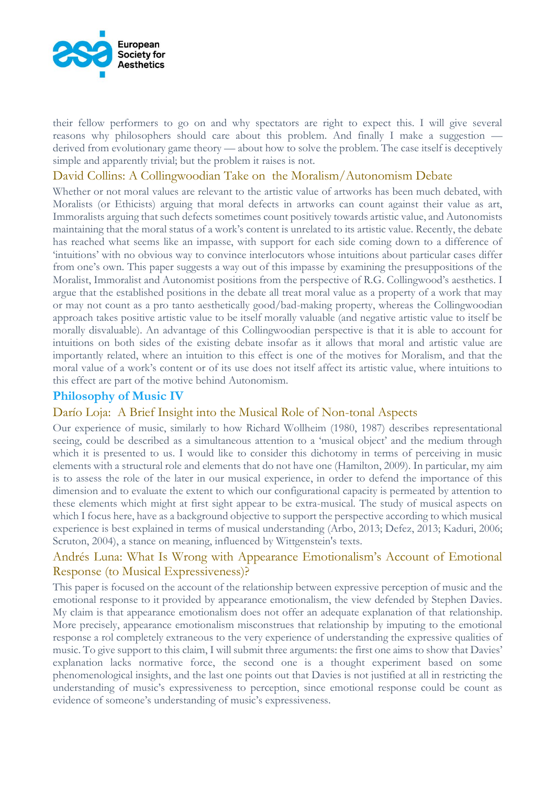

their fellow performers to go on and why spectators are right to expect this. I will give several reasons why philosophers should care about this problem. And finally I make a suggestion derived from evolutionary game theory — about how to solve the problem. The case itself is deceptively simple and apparently trivial; but the problem it raises is not.

### David Collins: A Collingwoodian Take on the Moralism/Autonomism Debate

Whether or not moral values are relevant to the artistic value of artworks has been much debated, with Moralists (or Ethicists) arguing that moral defects in artworks can count against their value as art, Immoralists arguing that such defects sometimes count positively towards artistic value, and Autonomists maintaining that the moral status of a work's content is unrelated to its artistic value. Recently, the debate has reached what seems like an impasse, with support for each side coming down to a difference of 'intuitions' with no obvious way to convince interlocutors whose intuitions about particular cases differ from one's own. This paper suggests a way out of this impasse by examining the presuppositions of the Moralist, Immoralist and Autonomist positions from the perspective of R.G. Collingwood's aesthetics. I argue that the established positions in the debate all treat moral value as a property of a work that may or may not count as a pro tanto aesthetically good/bad-making property, whereas the Collingwoodian approach takes positive artistic value to be itself morally valuable (and negative artistic value to itself be morally disvaluable). An advantage of this Collingwoodian perspective is that it is able to account for intuitions on both sides of the existing debate insofar as it allows that moral and artistic value are importantly related, where an intuition to this effect is one of the motives for Moralism, and that the moral value of a work's content or of its use does not itself affect its artistic value, where intuitions to this effect are part of the motive behind Autonomism.

### **Philosophy of Music IV**

### Darío Loja: A Brief Insight into the Musical Role of Non-tonal Aspects

Our experience of music, similarly to how Richard Wollheim (1980, 1987) describes representational seeing, could be described as a simultaneous attention to a 'musical object' and the medium through which it is presented to us. I would like to consider this dichotomy in terms of perceiving in music elements with a structural role and elements that do not have one (Hamilton, 2009). In particular, my aim is to assess the role of the later in our musical experience, in order to defend the importance of this dimension and to evaluate the extent to which our configurational capacity is permeated by attention to these elements which might at first sight appear to be extra-musical. The study of musical aspects on which I focus here, have as a background objective to support the perspective according to which musical experience is best explained in terms of musical understanding (Arbo, 2013; Defez, 2013; Kaduri, 2006; Scruton, 2004), a stance on meaning, influenced by Wittgenstein's texts.

### Andrés Luna: What Is Wrong with Appearance Emotionalism's Account of Emotional Response (to Musical Expressiveness)?

This paper is focused on the account of the relationship between expressive perception of music and the emotional response to it provided by appearance emotionalism, the view defended by Stephen Davies. My claim is that appearance emotionalism does not offer an adequate explanation of that relationship. More precisely, appearance emotionalism misconstrues that relationship by imputing to the emotional response a rol completely extraneous to the very experience of understanding the expressive qualities of music. To give support to this claim, I will submit three arguments: the first one aims to show that Davies' explanation lacks normative force, the second one is a thought experiment based on some phenomenological insights, and the last one points out that Davies is not justified at all in restricting the understanding of music's expressiveness to perception, since emotional response could be count as evidence of someone's understanding of music's expressiveness.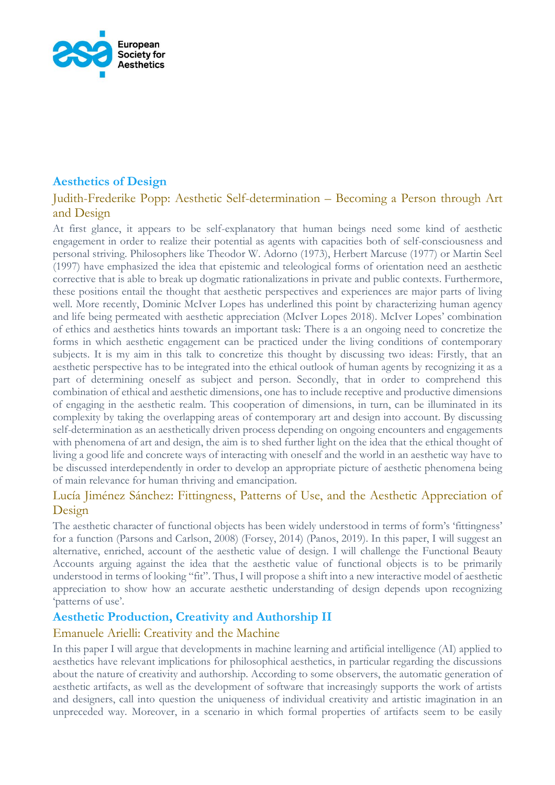

# **Aesthetics of Design**

# Judith-Frederike Popp: Aesthetic Self-determination – Becoming a Person through Art and Design

At first glance, it appears to be self-explanatory that human beings need some kind of aesthetic engagement in order to realize their potential as agents with capacities both of self-consciousness and personal striving. Philosophers like Theodor W. Adorno (1973), Herbert Marcuse (1977) or Martin Seel (1997) have emphasized the idea that epistemic and teleological forms of orientation need an aesthetic corrective that is able to break up dogmatic rationalizations in private and public contexts. Furthermore, these positions entail the thought that aesthetic perspectives and experiences are major parts of living well. More recently, Dominic McIver Lopes has underlined this point by characterizing human agency and life being permeated with aesthetic appreciation (McIver Lopes 2018). McIver Lopes' combination of ethics and aesthetics hints towards an important task: There is a an ongoing need to concretize the forms in which aesthetic engagement can be practiced under the living conditions of contemporary subjects. It is my aim in this talk to concretize this thought by discussing two ideas: Firstly, that an aesthetic perspective has to be integrated into the ethical outlook of human agents by recognizing it as a part of determining oneself as subject and person. Secondly, that in order to comprehend this combination of ethical and aesthetic dimensions, one has to include receptive and productive dimensions of engaging in the aesthetic realm. This cooperation of dimensions, in turn, can be illuminated in its complexity by taking the overlapping areas of contemporary art and design into account. By discussing self-determination as an aesthetically driven process depending on ongoing encounters and engagements with phenomena of art and design, the aim is to shed further light on the idea that the ethical thought of living a good life and concrete ways of interacting with oneself and the world in an aesthetic way have to be discussed interdependently in order to develop an appropriate picture of aesthetic phenomena being of main relevance for human thriving and emancipation.

# Lucía Jiménez Sánchez: Fittingness, Patterns of Use, and the Aesthetic Appreciation of Design

The aesthetic character of functional objects has been widely understood in terms of form's 'fittingness' for a function (Parsons and Carlson, 2008) (Forsey, 2014) (Panos, 2019). In this paper, I will suggest an alternative, enriched, account of the aesthetic value of design. I will challenge the Functional Beauty Accounts arguing against the idea that the aesthetic value of functional objects is to be primarily understood in terms of looking "fit". Thus, I will propose a shift into a new interactive model of aesthetic appreciation to show how an accurate aesthetic understanding of design depends upon recognizing 'patterns of use'.

# **Aesthetic Production, Creativity and Authorship II**

# Emanuele Arielli: Creativity and the Machine

In this paper I will argue that developments in machine learning and artificial intelligence (AI) applied to aesthetics have relevant implications for philosophical aesthetics, in particular regarding the discussions about the nature of creativity and authorship. According to some observers, the automatic generation of aesthetic artifacts, as well as the development of software that increasingly supports the work of artists and designers, call into question the uniqueness of individual creativity and artistic imagination in an unpreceded way. Moreover, in a scenario in which formal properties of artifacts seem to be easily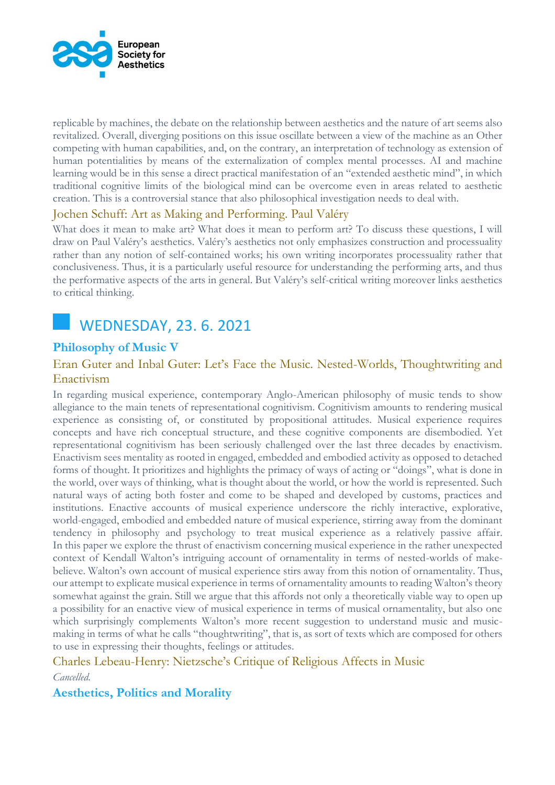

replicable by machines, the debate on the relationship between aesthetics and the nature of art seems also revitalized. Overall, diverging positions on this issue oscillate between a view of the machine as an Other competing with human capabilities, and, on the contrary, an interpretation of technology as extension of human potentialities by means of the externalization of complex mental processes. AI and machine learning would be in this sense a direct practical manifestation of an "extended aesthetic mind", in which traditional cognitive limits of the biological mind can be overcome even in areas related to aesthetic creation. This is a controversial stance that also philosophical investigation needs to deal with.

# Jochen Schuff: Art as Making and Performing. Paul Valéry

What does it mean to make art? What does it mean to perform art? To discuss these questions, I will draw on Paul Valéry's aesthetics. Valéry's aesthetics not only emphasizes construction and processuality rather than any notion of self-contained works; his own writing incorporates processuality rather that conclusiveness. Thus, it is a particularly useful resource for understanding the performing arts, and thus the performative aspects of the arts in general. But Valéry's self-critical writing moreover links aesthetics to critical thinking.



# **Philosophy of Music V**

# Eran Guter and Inbal Guter: Let's Face the Music. Nested-Worlds, Thoughtwriting and Enactivism

In regarding musical experience, contemporary Anglo-American philosophy of music tends to show allegiance to the main tenets of representational cognitivism. Cognitivism amounts to rendering musical experience as consisting of, or constituted by propositional attitudes. Musical experience requires concepts and have rich conceptual structure, and these cognitive components are disembodied. Yet representational cognitivism has been seriously challenged over the last three decades by enactivism. Enactivism sees mentality as rooted in engaged, embedded and embodied activity as opposed to detached forms of thought. It prioritizes and highlights the primacy of ways of acting or "doings", what is done in the world, over ways of thinking, what is thought about the world, or how the world is represented. Such natural ways of acting both foster and come to be shaped and developed by customs, practices and institutions. Enactive accounts of musical experience underscore the richly interactive, explorative, world-engaged, embodied and embedded nature of musical experience, stirring away from the dominant tendency in philosophy and psychology to treat musical experience as a relatively passive affair. In this paper we explore the thrust of enactivism concerning musical experience in the rather unexpected context of Kendall Walton's intriguing account of ornamentality in terms of nested-worlds of makebelieve. Walton's own account of musical experience stirs away from this notion of ornamentality. Thus, our attempt to explicate musical experience in terms of ornamentality amounts to reading Walton's theory somewhat against the grain. Still we argue that this affords not only a theoretically viable way to open up a possibility for an enactive view of musical experience in terms of musical ornamentality, but also one which surprisingly complements Walton's more recent suggestion to understand music and musicmaking in terms of what he calls "thoughtwriting", that is, as sort of texts which are composed for others to use in expressing their thoughts, feelings or attitudes.

Charles Lebeau-Henry: Nietzsche's Critique of Religious Affects in Music

*Cancelled.*

# **Aesthetics, Politics and Morality**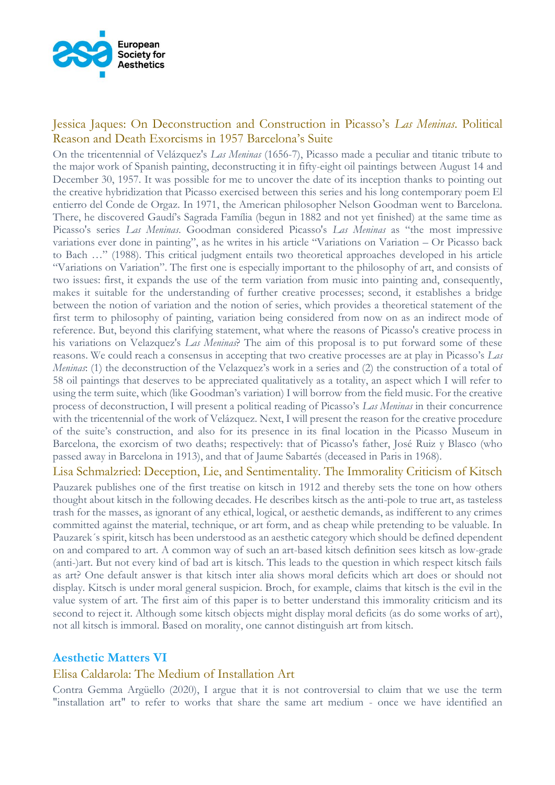

# Jessica Jaques: On Deconstruction and Construction in Picasso's *Las Meninas*. Political Reason and Death Exorcisms in 1957 Barcelona's Suite

On the tricentennial of Velázquez's *Las Meninas* (1656-7), Picasso made a peculiar and titanic tribute to the major work of Spanish painting, deconstructing it in fifty-eight oil paintings between August 14 and December 30, 1957. It was possible for me to uncover the date of its inception thanks to pointing out the creative hybridization that Picasso exercised between this series and his long contemporary poem El entierro del Conde de Orgaz. In 1971, the American philosopher Nelson Goodman went to Barcelona. There, he discovered Gaudí's Sagrada Família (begun in 1882 and not yet finished) at the same time as Picasso's series *Las Meninas*. Goodman considered Picasso's *Las Meninas* as "the most impressive variations ever done in painting", as he writes in his article "Variations on Variation – Or Picasso back to Bach …" (1988). This critical judgment entails two theoretical approaches developed in his article "Variations on Variation". The first one is especially important to the philosophy of art, and consists of two issues: first, it expands the use of the term variation from music into painting and, consequently, makes it suitable for the understanding of further creative processes; second, it establishes a bridge between the notion of variation and the notion of series, which provides a theoretical statement of the first term to philosophy of painting, variation being considered from now on as an indirect mode of reference. But, beyond this clarifying statement, what where the reasons of Picasso's creative process in his variations on Velazquez's *Las Meninas*? The aim of this proposal is to put forward some of these reasons. We could reach a consensus in accepting that two creative processes are at play in Picasso's *Las Meninas*: (1) the deconstruction of the Velazquez's work in a series and (2) the construction of a total of 58 oil paintings that deserves to be appreciated qualitatively as a totality, an aspect which I will refer to using the term suite, which (like Goodman's variation) I will borrow from the field music. For the creative process of deconstruction, I will present a political reading of Picasso's *Las Meninas* in their concurrence with the tricentennial of the work of Velázquez. Next, I will present the reason for the creative procedure of the suite's construction, and also for its presence in its final location in the Picasso Museum in Barcelona, the exorcism of two deaths; respectively: that of Picasso's father, José Ruiz y Blasco (who passed away in Barcelona in 1913), and that of Jaume Sabartés (deceased in Paris in 1968).

Lisa Schmalzried: Deception, Lie, and Sentimentality. The Immorality Criticism of Kitsch

Pauzarek publishes one of the first treatise on kitsch in 1912 and thereby sets the tone on how others thought about kitsch in the following decades. He describes kitsch as the anti-pole to true art, as tasteless trash for the masses, as ignorant of any ethical, logical, or aesthetic demands, as indifferent to any crimes committed against the material, technique, or art form, and as cheap while pretending to be valuable. In Pauzarek´s spirit, kitsch has been understood as an aesthetic category which should be defined dependent on and compared to art. A common way of such an art-based kitsch definition sees kitsch as low-grade (anti-)art. But not every kind of bad art is kitsch. This leads to the question in which respect kitsch fails as art? One default answer is that kitsch inter alia shows moral deficits which art does or should not display. Kitsch is under moral general suspicion. Broch, for example, claims that kitsch is the evil in the value system of art. The first aim of this paper is to better understand this immorality criticism and its second to reject it. Although some kitsch objects might display moral deficits (as do some works of art), not all kitsch is immoral. Based on morality, one cannot distinguish art from kitsch.

# **Aesthetic Matters VI**

### Elisa Caldarola: The Medium of Installation Art

Contra Gemma Argüello (2020), I argue that it is not controversial to claim that we use the term "installation art" to refer to works that share the same art medium - once we have identified an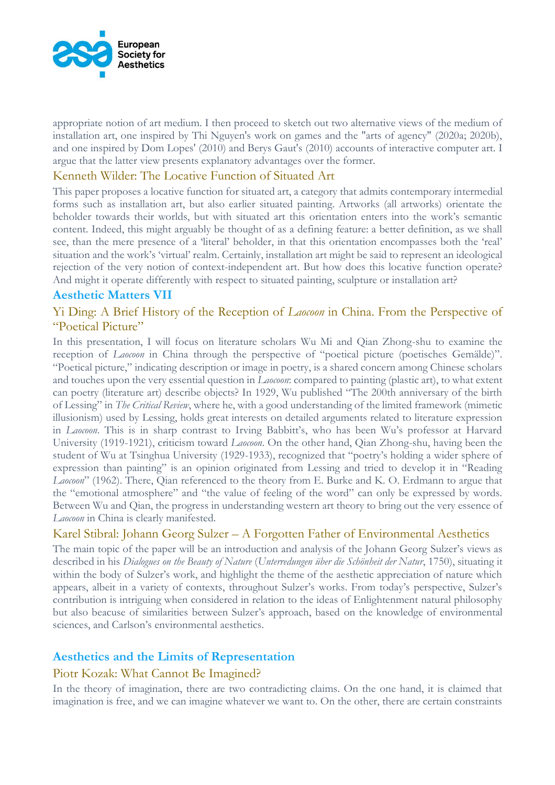

appropriate notion of art medium. I then proceed to sketch out two alternative views of the medium of installation art, one inspired by Thi Nguyen's work on games and the "arts of agency" (2020a; 2020b), and one inspired by Dom Lopes' (2010) and Berys Gaut's (2010) accounts of interactive computer art. I argue that the latter view presents explanatory advantages over the former.

### Kenneth Wilder: The Locative Function of Situated Art

This paper proposes a locative function for situated art, a category that admits contemporary intermedial forms such as installation art, but also earlier situated painting. Artworks (all artworks) orientate the beholder towards their worlds, but with situated art this orientation enters into the work's semantic content. Indeed, this might arguably be thought of as a defining feature: a better definition, as we shall see, than the mere presence of a 'literal' beholder, in that this orientation encompasses both the 'real' situation and the work's 'virtual' realm. Certainly, installation art might be said to represent an ideological rejection of the very notion of context-independent art. But how does this locative function operate? And might it operate differently with respect to situated painting, sculpture or installation art?

### **Aesthetic Matters VII**

# Yi Ding: A Brief History of the Reception of *Laocoon* in China. From the Perspective of "Poetical Picture"

In this presentation, I will focus on literature scholars Wu Mi and Qian Zhong-shu to examine the reception of *Laocoon* in China through the perspective of "poetical picture (poetisches Gemälde)". "Poetical picture," indicating description or image in poetry, is a shared concern among Chinese scholars and touches upon the very essential question in *Laocoon*: compared to painting (plastic art), to what extent can poetry (literature art) describe objects? In 1929, Wu published "The 200th anniversary of the birth of Lessing" in *The Critical Review*, where he, with a good understanding of the limited framework (mimetic illusionism) used by Lessing, holds great interests on detailed arguments related to literature expression in *Laocoon*. This is in sharp contrast to Irving Babbitt's, who has been Wu's professor at Harvard University (1919-1921), criticism toward *Laocoon*. On the other hand, Qian Zhong-shu, having been the student of Wu at Tsinghua University (1929-1933), recognized that "poetry's holding a wider sphere of expression than painting" is an opinion originated from Lessing and tried to develop it in "Reading *Laocoon*" (1962). There, Qian referenced to the theory from E. Burke and K. O. Erdmann to argue that the "emotional atmosphere" and "the value of feeling of the word" can only be expressed by words. Between Wu and Qian, the progress in understanding western art theory to bring out the very essence of *Laocoon* in China is clearly manifested.

# Karel Stibral: Johann Georg Sulzer – A Forgotten Father of Environmental Aesthetics

The main topic of the paper will be an introduction and analysis of the Johann Georg Sulzer's views as described in his *Dialogues on the Beauty of Nature* (*Unterredungen über die Schönheit der Natur*, 1750), situating it within the body of Sulzer's work, and highlight the theme of the aesthetic appreciation of nature which appears, albeit in a variety of contexts, throughout Sulzer's works. From today's perspective, Sulzer's contribution is intriguing when considered in relation to the ideas of Enlightenment natural philosophy but also beacuse of similarities between Sulzer's approach, based on the knowledge of environmental sciences, and Carlson's environmental aesthetics.

# **Aesthetics and the Limits of Representation**

### Piotr Kozak: What Cannot Be Imagined?

In the theory of imagination, there are two contradicting claims. On the one hand, it is claimed that imagination is free, and we can imagine whatever we want to. On the other, there are certain constraints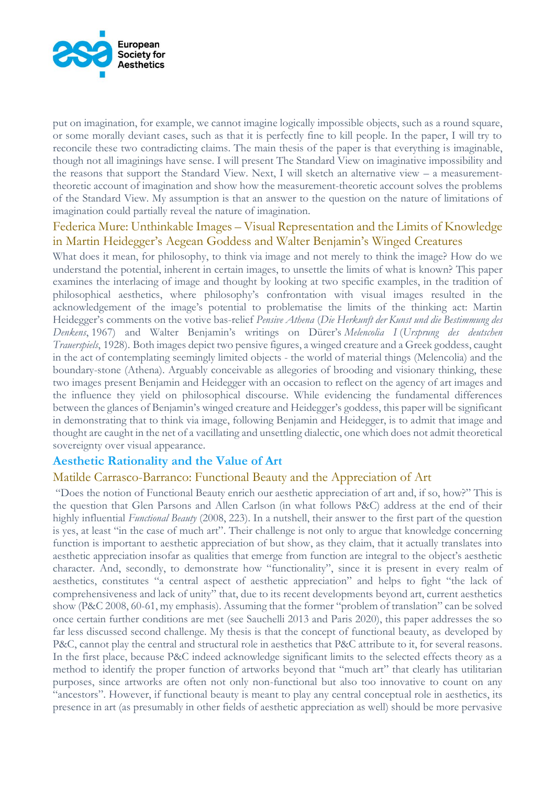

put on imagination, for example, we cannot imagine logically impossible objects, such as a round square, or some morally deviant cases, such as that it is perfectly fine to kill people. In the paper, I will try to reconcile these two contradicting claims. The main thesis of the paper is that everything is imaginable, though not all imaginings have sense. I will present The Standard View on imaginative impossibility and the reasons that support the Standard View. Next, I will sketch an alternative view – a measurementtheoretic account of imagination and show how the measurement-theoretic account solves the problems of the Standard View. My assumption is that an answer to the question on the nature of limitations of imagination could partially reveal the nature of imagination.

### Federica Mure: Unthinkable Images – Visual Representation and the Limits of Knowledge in Martin Heidegger's Aegean Goddess and Walter Benjamin's Winged Creatures

What does it mean, for philosophy, to think via image and not merely to think the image? How do we understand the potential, inherent in certain images, to unsettle the limits of what is known? This paper examines the interlacing of image and thought by looking at two specific examples, in the tradition of philosophical aesthetics, where philosophy's confrontation with visual images resulted in the acknowledgement of the image's potential to problematise the limits of the thinking act: Martin Heidegger's comments on the votive bas-relief *Pensive Athena* (*Die Herkunft der Kunst und die Bestimmung des Denkens*, 1967) and Walter Benjamin's writings on Dürer's *Melencolia I* (*Ursprung des deutschen Trauerspiels*, 1928). Both images depict two pensive figures, a winged creature and a Greek goddess, caught in the act of contemplating seemingly limited objects - the world of material things (Melencolia) and the boundary-stone (Athena). Arguably conceivable as allegories of brooding and visionary thinking, these two images present Benjamin and Heidegger with an occasion to reflect on the agency of art images and the influence they yield on philosophical discourse. While evidencing the fundamental differences between the glances of Benjamin's winged creature and Heidegger's goddess, this paper will be significant in demonstrating that to think via image, following Benjamin and Heidegger, is to admit that image and thought are caught in the net of a vacillating and unsettling dialectic, one which does not admit theoretical sovereignty over visual appearance.

# **Aesthetic Rationality and the Value of Art**

### Matilde Carrasco-Barranco: Functional Beauty and the Appreciation of Art

"Does the notion of Functional Beauty enrich our aesthetic appreciation of art and, if so, how?" This is the question that Glen Parsons and Allen Carlson (in what follows P&C) address at the end of their highly influential *Functional Beauty* (2008, 223). In a nutshell, their answer to the first part of the question is yes, at least "in the case of much art". Their challenge is not only to argue that knowledge concerning function is important to aesthetic appreciation of but show, as they claim, that it actually translates into aesthetic appreciation insofar as qualities that emerge from function are integral to the object's aesthetic character. And, secondly, to demonstrate how "functionality", since it is present in every realm of aesthetics, constitutes "a central aspect of aesthetic appreciation" and helps to fight "the lack of comprehensiveness and lack of unity" that, due to its recent developments beyond art, current aesthetics show (P&C 2008, 60-61, my emphasis). Assuming that the former "problem of translation" can be solved once certain further conditions are met (see Sauchelli 2013 and Paris 2020), this paper addresses the so far less discussed second challenge. My thesis is that the concept of functional beauty, as developed by P&C, cannot play the central and structural role in aesthetics that P&C attribute to it, for several reasons. In the first place, because P&C indeed acknowledge significant limits to the selected effects theory as a method to identify the proper function of artworks beyond that "much art" that clearly has utilitarian purposes, since artworks are often not only non-functional but also too innovative to count on any "ancestors". However, if functional beauty is meant to play any central conceptual role in aesthetics, its presence in art (as presumably in other fields of aesthetic appreciation as well) should be more pervasive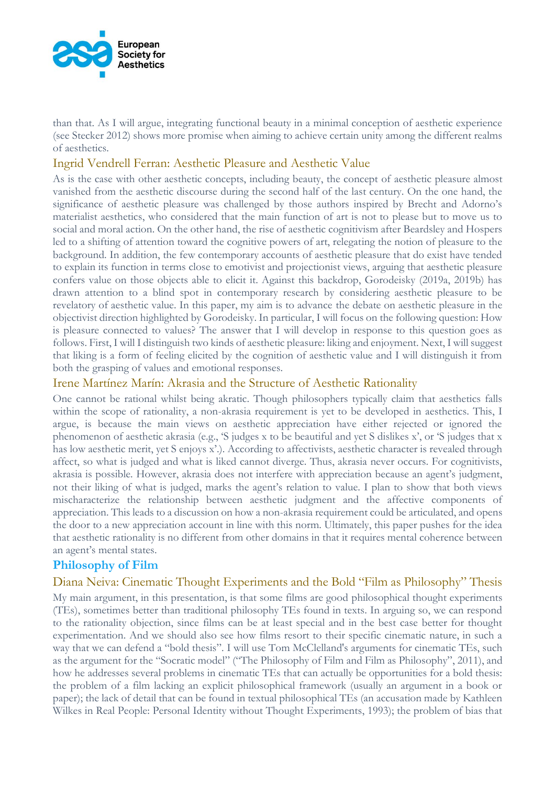

than that. As I will argue, integrating functional beauty in a minimal conception of aesthetic experience (see Stecker 2012) shows more promise when aiming to achieve certain unity among the different realms of aesthetics.

### Ingrid Vendrell Ferran: Aesthetic Pleasure and Aesthetic Value

As is the case with other aesthetic concepts, including beauty, the concept of aesthetic pleasure almost vanished from the aesthetic discourse during the second half of the last century. On the one hand, the significance of aesthetic pleasure was challenged by those authors inspired by Brecht and Adorno's materialist aesthetics, who considered that the main function of art is not to please but to move us to social and moral action. On the other hand, the rise of aesthetic cognitivism after Beardsley and Hospers led to a shifting of attention toward the cognitive powers of art, relegating the notion of pleasure to the background. In addition, the few contemporary accounts of aesthetic pleasure that do exist have tended to explain its function in terms close to emotivist and projectionist views, arguing that aesthetic pleasure confers value on those objects able to elicit it. Against this backdrop, Gorodeisky (2019a, 2019b) has drawn attention to a blind spot in contemporary research by considering aesthetic pleasure to be revelatory of aesthetic value. In this paper, my aim is to advance the debate on aesthetic pleasure in the objectivist direction highlighted by Gorodeisky. In particular, I will focus on the following question: How is pleasure connected to values? The answer that I will develop in response to this question goes as follows. First, I will I distinguish two kinds of aesthetic pleasure: liking and enjoyment. Next, I will suggest that liking is a form of feeling elicited by the cognition of aesthetic value and I will distinguish it from both the grasping of values and emotional responses.

### Irene Martínez Marín: Akrasia and the Structure of Aesthetic Rationality

One cannot be rational whilst being akratic. Though philosophers typically claim that aesthetics falls within the scope of rationality, a non-akrasia requirement is yet to be developed in aesthetics. This, I argue, is because the main views on aesthetic appreciation have either rejected or ignored the phenomenon of aesthetic akrasia (e.g., 'S judges x to be beautiful and yet S dislikes x', or 'S judges that x has low aesthetic merit, yet S enjoys x'.). According to affectivists, aesthetic character is revealed through affect, so what is judged and what is liked cannot diverge. Thus, akrasia never occurs. For cognitivists, akrasia is possible. However, akrasia does not interfere with appreciation because an agent's judgment, not their liking of what is judged, marks the agent's relation to value. I plan to show that both views mischaracterize the relationship between aesthetic judgment and the affective components of appreciation. This leads to a discussion on how a non-akrasia requirement could be articulated, and opens the door to a new appreciation account in line with this norm. Ultimately, this paper pushes for the idea that aesthetic rationality is no different from other domains in that it requires mental coherence between an agent's mental states.

# **Philosophy of Film**

### Diana Neiva: Cinematic Thought Experiments and the Bold "Film as Philosophy" Thesis

My main argument, in this presentation, is that some films are good philosophical thought experiments (TEs), sometimes better than traditional philosophy TEs found in texts. In arguing so, we can respond to the rationality objection, since films can be at least special and in the best case better for thought experimentation. And we should also see how films resort to their specific cinematic nature, in such a way that we can defend a "bold thesis". I will use Tom McClelland's arguments for cinematic TEs, such as the argument for the "Socratic model" ("The Philosophy of Film and Film as Philosophy", 2011), and how he addresses several problems in cinematic TEs that can actually be opportunities for a bold thesis: the problem of a film lacking an explicit philosophical framework (usually an argument in a book or paper); the lack of detail that can be found in textual philosophical TEs (an accusation made by Kathleen Wilkes in Real People: Personal Identity without Thought Experiments, 1993); the problem of bias that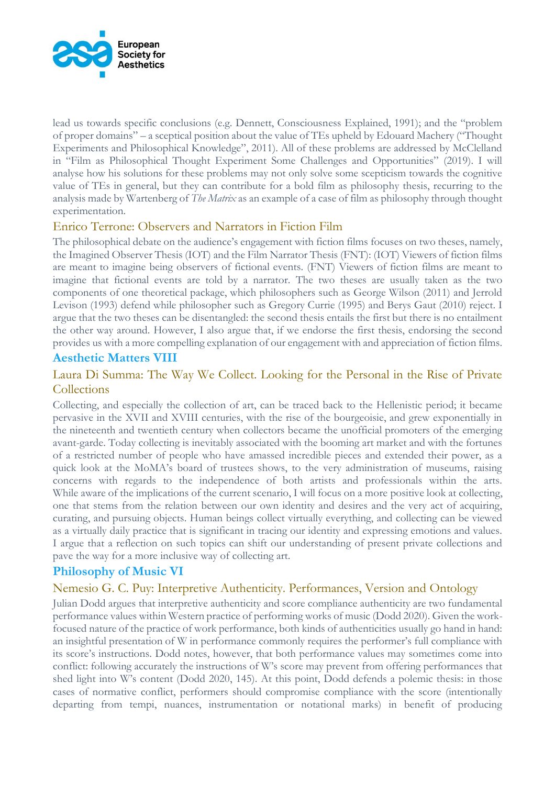

lead us towards specific conclusions (e.g. Dennett, Consciousness Explained, 1991); and the "problem of proper domains" – a sceptical position about the value of TEs upheld by Edouard Machery ("Thought Experiments and Philosophical Knowledge", 2011). All of these problems are addressed by McClelland in "Film as Philosophical Thought Experiment Some Challenges and Opportunities" (2019). I will analyse how his solutions for these problems may not only solve some scepticism towards the cognitive value of TEs in general, but they can contribute for a bold film as philosophy thesis, recurring to the analysis made by Wartenberg of *The Matrix* as an example of a case of film as philosophy through thought experimentation.

# Enrico Terrone: Observers and Narrators in Fiction Film

The philosophical debate on the audience's engagement with fiction films focuses on two theses, namely, the Imagined Observer Thesis (IOT) and the Film Narrator Thesis (FNT): (IOT) Viewers of fiction films are meant to imagine being observers of fictional events. (FNT) Viewers of fiction films are meant to imagine that fictional events are told by a narrator. The two theses are usually taken as the two components of one theoretical package, which philosophers such as George Wilson (2011) and Jerrold Levison (1993) defend while philosopher such as Gregory Currie (1995) and Berys Gaut (2010) reject. I argue that the two theses can be disentangled: the second thesis entails the first but there is no entailment the other way around. However, I also argue that, if we endorse the first thesis, endorsing the second provides us with a more compelling explanation of our engagement with and appreciation of fiction films.

# **Aesthetic Matters VIII**

# Laura Di Summa: The Way We Collect. Looking for the Personal in the Rise of Private **Collections**

Collecting, and especially the collection of art, can be traced back to the Hellenistic period; it became pervasive in the XVII and XVIII centuries, with the rise of the bourgeoisie, and grew exponentially in the nineteenth and twentieth century when collectors became the unofficial promoters of the emerging avant-garde. Today collecting is inevitably associated with the booming art market and with the fortunes of a restricted number of people who have amassed incredible pieces and extended their power, as a quick look at the MoMA's board of trustees shows, to the very administration of museums, raising concerns with regards to the independence of both artists and professionals within the arts. While aware of the implications of the current scenario, I will focus on a more positive look at collecting, one that stems from the relation between our own identity and desires and the very act of acquiring, curating, and pursuing objects. Human beings collect virtually everything, and collecting can be viewed as a virtually daily practice that is significant in tracing our identity and expressing emotions and values. I argue that a reflection on such topics can shift our understanding of present private collections and pave the way for a more inclusive way of collecting art.

# **Philosophy of Music VI**

# Nemesio G. C. Puy: Interpretive Authenticity. Performances, Version and Ontology

Julian Dodd argues that interpretive authenticity and score compliance authenticity are two fundamental performance values within Western practice of performing works of music (Dodd 2020). Given the workfocused nature of the practice of work performance, both kinds of authenticities usually go hand in hand: an insightful presentation of W in performance commonly requires the performer's full compliance with its score's instructions. Dodd notes, however, that both performance values may sometimes come into conflict: following accurately the instructions of W's score may prevent from offering performances that shed light into W's content (Dodd 2020, 145). At this point, Dodd defends a polemic thesis: in those cases of normative conflict, performers should compromise compliance with the score (intentionally departing from tempi, nuances, instrumentation or notational marks) in benefit of producing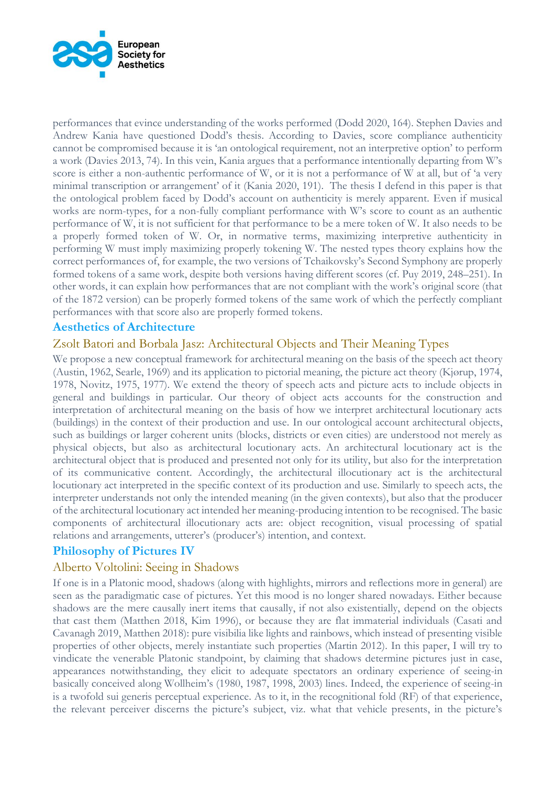

performances that evince understanding of the works performed (Dodd 2020, 164). Stephen Davies and Andrew Kania have questioned Dodd's thesis. According to Davies, score compliance authenticity cannot be compromised because it is 'an ontological requirement, not an interpretive option' to perform a work (Davies 2013, 74). In this vein, Kania argues that a performance intentionally departing from W's score is either a non-authentic performance of W, or it is not a performance of W at all, but of 'a very minimal transcription or arrangement' of it (Kania 2020, 191). The thesis I defend in this paper is that the ontological problem faced by Dodd's account on authenticity is merely apparent. Even if musical works are norm-types, for a non-fully compliant performance with W's score to count as an authentic performance of W, it is not sufficient for that performance to be a mere token of W. It also needs to be a properly formed token of W. Or, in normative terms, maximizing interpretive authenticity in performing W must imply maximizing properly tokening W. The nested types theory explains how the correct performances of, for example, the two versions of Tchaikovsky's Second Symphony are properly formed tokens of a same work, despite both versions having different scores (cf. Puy 2019, 248–251). In other words, it can explain how performances that are not compliant with the work's original score (that of the 1872 version) can be properly formed tokens of the same work of which the perfectly compliant performances with that score also are properly formed tokens.

### **Aesthetics of Architecture**

### Zsolt Batori and Borbala Jasz: Architectural Objects and Their Meaning Types

We propose a new conceptual framework for architectural meaning on the basis of the speech act theory (Austin, 1962, Searle, 1969) and its application to pictorial meaning, the picture act theory (Kjørup, 1974, 1978, Novitz, 1975, 1977). We extend the theory of speech acts and picture acts to include objects in general and buildings in particular. Our theory of object acts accounts for the construction and interpretation of architectural meaning on the basis of how we interpret architectural locutionary acts (buildings) in the context of their production and use. In our ontological account architectural objects, such as buildings or larger coherent units (blocks, districts or even cities) are understood not merely as physical objects, but also as architectural locutionary acts. An architectural locutionary act is the architectural object that is produced and presented not only for its utility, but also for the interpretation of its communicative content. Accordingly, the architectural illocutionary act is the architectural locutionary act interpreted in the specific context of its production and use. Similarly to speech acts, the interpreter understands not only the intended meaning (in the given contexts), but also that the producer of the architectural locutionary act intended her meaning-producing intention to be recognised. The basic components of architectural illocutionary acts are: object recognition, visual processing of spatial relations and arrangements, utterer's (producer's) intention, and context.

### **Philosophy of Pictures IV**

### Alberto Voltolini: Seeing in Shadows

If one is in a Platonic mood, shadows (along with highlights, mirrors and reflections more in general) are seen as the paradigmatic case of pictures. Yet this mood is no longer shared nowadays. Either because shadows are the mere causally inert items that causally, if not also existentially, depend on the objects that cast them (Matthen 2018, Kim 1996), or because they are flat immaterial individuals (Casati and Cavanagh 2019, Matthen 2018): pure visibilia like lights and rainbows, which instead of presenting visible properties of other objects, merely instantiate such properties (Martin 2012). In this paper, I will try to vindicate the venerable Platonic standpoint, by claiming that shadows determine pictures just in case, appearances notwithstanding, they elicit to adequate spectators an ordinary experience of seeing-in basically conceived along Wollheim's (1980, 1987, 1998, 2003) lines. Indeed, the experience of seeing-in is a twofold sui generis perceptual experience. As to it, in the recognitional fold (RF) of that experience, the relevant perceiver discerns the picture's subject, viz. what that vehicle presents, in the picture's